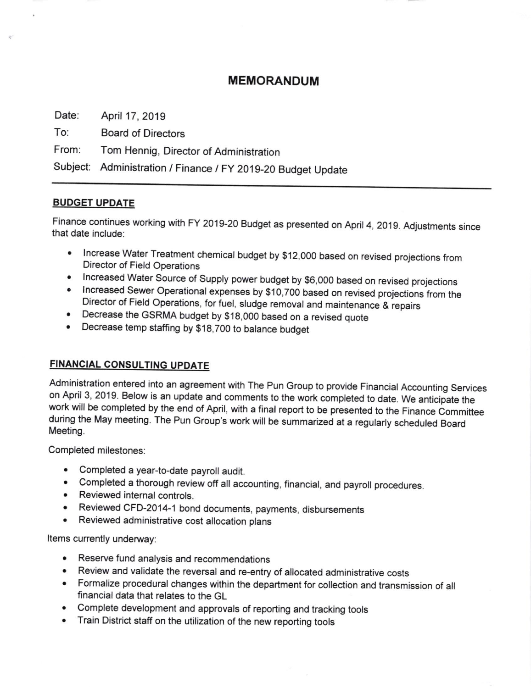### MEMORANDUM

Date: April 17,2019

To: Board of Directors

From: Tom Hennig, Director of Administration

Subject Administration / Finance lFy 2019-20 Budget Update

#### **BUDGET UPDATE**

Finance continues working with FY 2019-20 Budget as presented on April 4, 2019. Adjustments since that date include:

- Increase Water Treatment chemical budget by \$12,000 based on revised projections from Director of Field Operations
- 
- olncreased Water Source of Supply power budget by \$6,000 based on revised projections olncreased Sewer Operational expenses by \$10,700 based on revised projections from the Director of Field Operations, for fuel, sludge removal and maintenance & repairs
- . Decrease the GSRMA budget by \$j8,OOO based on a revised quote
- Decrease temp staffing by \$18,700 to balance budget

#### FINANCIAL CONSULTING UPDATE

Administration entered into an agreement with The Pun Group to provide Financial Accounting Services on April 3, 2019. Below is an update and comments to the work completed to date. We anticipate the work will be completed by the end of April, with a final report to be presented to the Finance Committee during the May meeting. The Pun Group's work will be summarized at a regularly scheduled Board Meeting.

Completed milestones:

- . Completed a year-to-date payroll audit.
- Completed a thorough review off all accounting, financial, and payroll procedures.
- Reviewed internal controls.
- Reviewed CFD-2014-1 bond documents, payments, disbursements
- . Reviewed administrative cost allocation plans

Items currently underway:

- . Reserve fund analysis and recommendations
- Review and validate the reversal and re-entry of allocated administrative costs
- . Formalize procedural changes within the department for collection and transmission of all financial data that relates to the GL
- Complete development and approvals of reporting and tracking tools
- . Train District staff on the utilization of the new reporting tools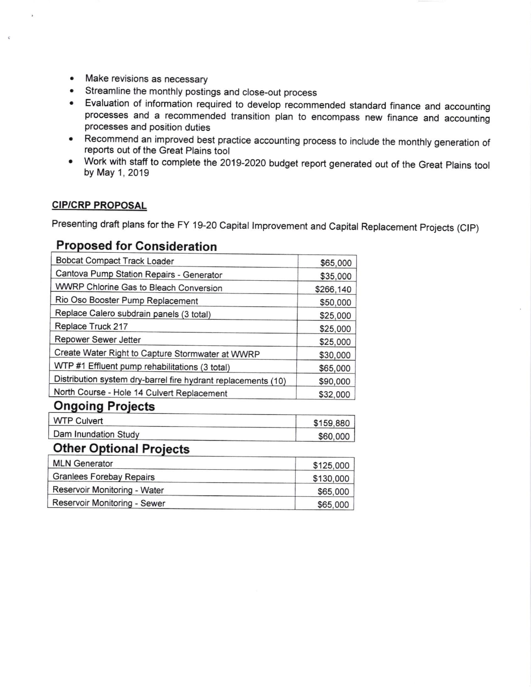- Make revisions as necessary
- Streamline the monthly postings and close-out process
- Evaluation of information required to develop recommended standard finance and accounting processes and a recommended transition plan to encompass new finance and accounting processes and position duties
- Recommend an improved best practice accounting process to include the monthly generation of  $\bullet$ reports out of the Great Plains tool
- Work with staff to complete the 2019-2020 budget report generated out of the Great Plains tool by May 1, 2019

#### **CIP/CRP PROPOSAL**

Presenting draft plans for the FY 19-20 Capital Improvement and Capital Replacement Projects (CIP)

## **Proposed for Consideration**

| <b>Bobcat Compact Track Loader</b>                            | \$65,000  |  |  |  |  |  |
|---------------------------------------------------------------|-----------|--|--|--|--|--|
| Cantova Pump Station Repairs - Generator                      | \$35,000  |  |  |  |  |  |
| WWRP Chlorine Gas to Bleach Conversion                        | \$266,140 |  |  |  |  |  |
| Rio Oso Booster Pump Replacement                              | \$50,000  |  |  |  |  |  |
| Replace Calero subdrain panels (3 total)                      | \$25,000  |  |  |  |  |  |
| Replace Truck 217                                             | \$25,000  |  |  |  |  |  |
| Repower Sewer Jetter                                          | \$25,000  |  |  |  |  |  |
| Create Water Right to Capture Stormwater at WWRP              | \$30,000  |  |  |  |  |  |
| WTP #1 Effluent pump rehabilitations (3 total)                | \$65,000  |  |  |  |  |  |
| Distribution system dry-barrel fire hydrant replacements (10) | \$90,000  |  |  |  |  |  |
| North Course - Hole 14 Culvert Replacement                    | \$32,000  |  |  |  |  |  |
| <b>Ongoing Projects</b>                                       |           |  |  |  |  |  |
| <b>WTP Culvert</b>                                            | \$159,880 |  |  |  |  |  |
| Dam Inundation Study                                          | \$60,000  |  |  |  |  |  |
| <b>Other Optional Projects</b>                                |           |  |  |  |  |  |
| <b>MLN Generator</b>                                          | \$125,000 |  |  |  |  |  |
| <b>Granlees Forebay Repairs</b>                               | \$130,000 |  |  |  |  |  |
| Reservoir Monitoring - Water                                  | \$65,000  |  |  |  |  |  |
| Reservoir Monitoring - Sewer                                  | \$65,000  |  |  |  |  |  |